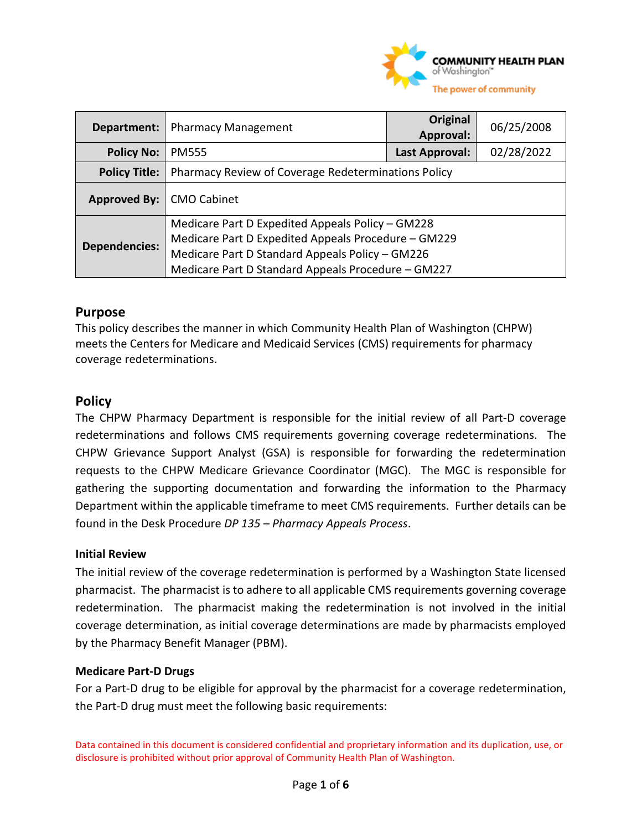

| Department:          | <b>Pharmacy Management</b>                          | Original<br>Approval: | 06/25/2008 |
|----------------------|-----------------------------------------------------|-----------------------|------------|
| <b>Policy No:</b>    | <b>PM555</b>                                        | Last Approval:        | 02/28/2022 |
| <b>Policy Title:</b> | Pharmacy Review of Coverage Redeterminations Policy |                       |            |
| Approved By:         | <b>CMO Cabinet</b>                                  |                       |            |
|                      | Medicare Part D Expedited Appeals Policy - GM228    |                       |            |
| <b>Dependencies:</b> | Medicare Part D Expedited Appeals Procedure - GM229 |                       |            |
|                      | Medicare Part D Standard Appeals Policy - GM226     |                       |            |
|                      | Medicare Part D Standard Appeals Procedure - GM227  |                       |            |

## **Purpose**

This policy describes the manner in which Community Health Plan of Washington (CHPW) meets the Centers for Medicare and Medicaid Services (CMS) requirements for pharmacy coverage redeterminations.

## **Policy**

The CHPW Pharmacy Department is responsible for the initial review of all Part-D coverage redeterminations and follows CMS requirements governing coverage redeterminations. The CHPW Grievance Support Analyst (GSA) is responsible for forwarding the redetermination requests to the CHPW Medicare Grievance Coordinator (MGC). The MGC is responsible for gathering the supporting documentation and forwarding the information to the Pharmacy Department within the applicable timeframe to meet CMS requirements. Further details can be found in the Desk Procedure *DP 135 – Pharmacy Appeals Process*.

#### **Initial Review**

The initial review of the coverage redetermination is performed by a Washington State licensed pharmacist. The pharmacist is to adhere to all applicable CMS requirements governing coverage redetermination. The pharmacist making the redetermination is not involved in the initial coverage determination, as initial coverage determinations are made by pharmacists employed by the Pharmacy Benefit Manager (PBM).

#### **Medicare Part-D Drugs**

For a Part-D drug to be eligible for approval by the pharmacist for a coverage redetermination, the Part-D drug must meet the following basic requirements: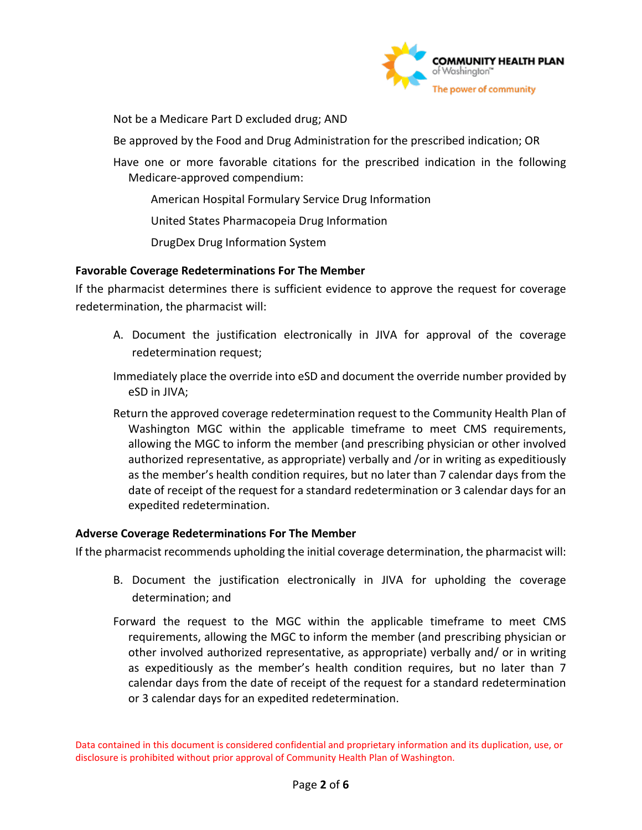

Not be a Medicare Part D excluded drug; AND

Be approved by the Food and Drug Administration for the prescribed indication; OR

Have one or more favorable citations for the prescribed indication in the following Medicare-approved compendium:

American Hospital Formulary Service Drug Information

United States Pharmacopeia Drug Information

DrugDex Drug Information System

## **Favorable Coverage Redeterminations For The Member**

If the pharmacist determines there is sufficient evidence to approve the request for coverage redetermination, the pharmacist will:

A. Document the justification electronically in JIVA for approval of the coverage redetermination request;

Immediately place the override into eSD and document the override number provided by eSD in JIVA;

Return the approved coverage redetermination request to the Community Health Plan of Washington MGC within the applicable timeframe to meet CMS requirements, allowing the MGC to inform the member (and prescribing physician or other involved authorized representative, as appropriate) verbally and /or in writing as expeditiously as the member's health condition requires, but no later than 7 calendar days from the date of receipt of the request for a standard redetermination or 3 calendar days for an expedited redetermination.

#### **Adverse Coverage Redeterminations For The Member**

If the pharmacist recommends upholding the initial coverage determination, the pharmacist will:

- B. Document the justification electronically in JIVA for upholding the coverage determination; and
- Forward the request to the MGC within the applicable timeframe to meet CMS requirements, allowing the MGC to inform the member (and prescribing physician or other involved authorized representative, as appropriate) verbally and/ or in writing as expeditiously as the member's health condition requires, but no later than 7 calendar days from the date of receipt of the request for a standard redetermination or 3 calendar days for an expedited redetermination.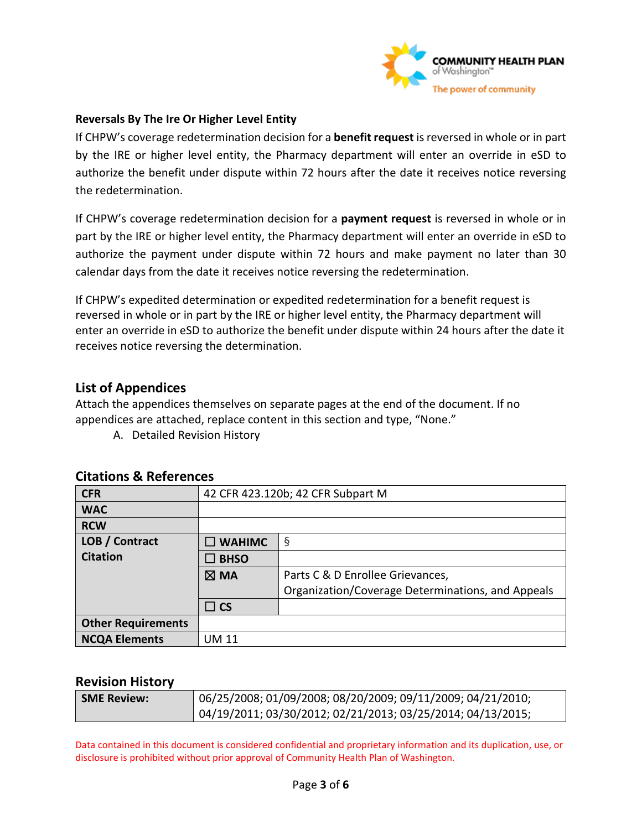

#### **Reversals By The Ire Or Higher Level Entity**

If CHPW's coverage redetermination decision for a **benefit request** is reversed in whole or in part by the IRE or higher level entity, the Pharmacy department will enter an override in eSD to authorize the benefit under dispute within 72 hours after the date it receives notice reversing the redetermination.

If CHPW's coverage redetermination decision for a **payment request** is reversed in whole or in part by the IRE or higher level entity, the Pharmacy department will enter an override in eSD to authorize the payment under dispute within 72 hours and make payment no later than 30 calendar days from the date it receives notice reversing the redetermination.

If CHPW's expedited determination or expedited redetermination for a benefit request is reversed in whole or in part by the IRE or higher level entity, the Pharmacy department will enter an override in eSD to authorize the benefit under dispute within 24 hours after the date it receives notice reversing the determination.

## **List of Appendices**

Attach the appendices themselves on separate pages at the end of the document. If no appendices are attached, replace content in this section and type, "None."

A. Detailed Revision History

| <b>CFR</b>                | 42 CFR 423.120b; 42 CFR Subpart M |                                                   |  |
|---------------------------|-----------------------------------|---------------------------------------------------|--|
| <b>WAC</b>                |                                   |                                                   |  |
| <b>RCW</b>                |                                   |                                                   |  |
| LOB / Contract            | $\square$ WAHIMC                  | $\S$                                              |  |
| <b>Citation</b>           | $\square$ BHSO                    |                                                   |  |
|                           | $\boxtimes$ MA                    | Parts C & D Enrollee Grievances,                  |  |
|                           |                                   | Organization/Coverage Determinations, and Appeals |  |
|                           | $\Box$ CS                         |                                                   |  |
| <b>Other Requirements</b> |                                   |                                                   |  |
| <b>NCQA Elements</b>      | UM 11                             |                                                   |  |

## **Citations & References**

#### **Revision History**

| <b>SME Review:</b> ' | $\vert$ 06/25/2008; 01/09/2008; 08/20/2009; 09/11/2009; 04/21/2010; |
|----------------------|---------------------------------------------------------------------|
|                      | 04/19/2011; 03/30/2012; 02/21/2013; 03/25/2014; 04/13/2015;         |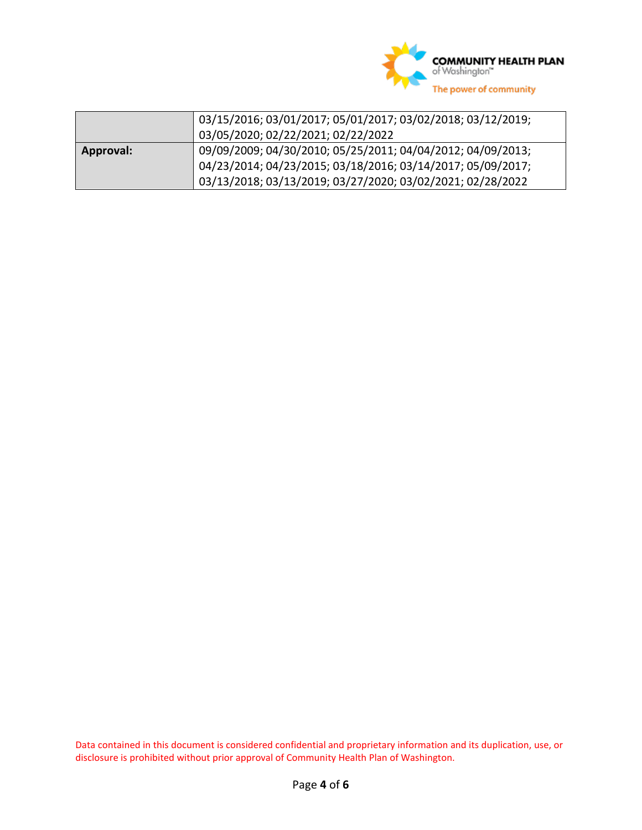

|           | 03/15/2016; 03/01/2017; 05/01/2017; 03/02/2018; 03/12/2019; |  |
|-----------|-------------------------------------------------------------|--|
|           | 03/05/2020; 02/22/2021; 02/22/2022                          |  |
| Approval: | 09/09/2009; 04/30/2010; 05/25/2011; 04/04/2012; 04/09/2013; |  |
|           | 04/23/2014; 04/23/2015; 03/18/2016; 03/14/2017; 05/09/2017; |  |
|           | 03/13/2018; 03/13/2019; 03/27/2020; 03/02/2021; 02/28/2022  |  |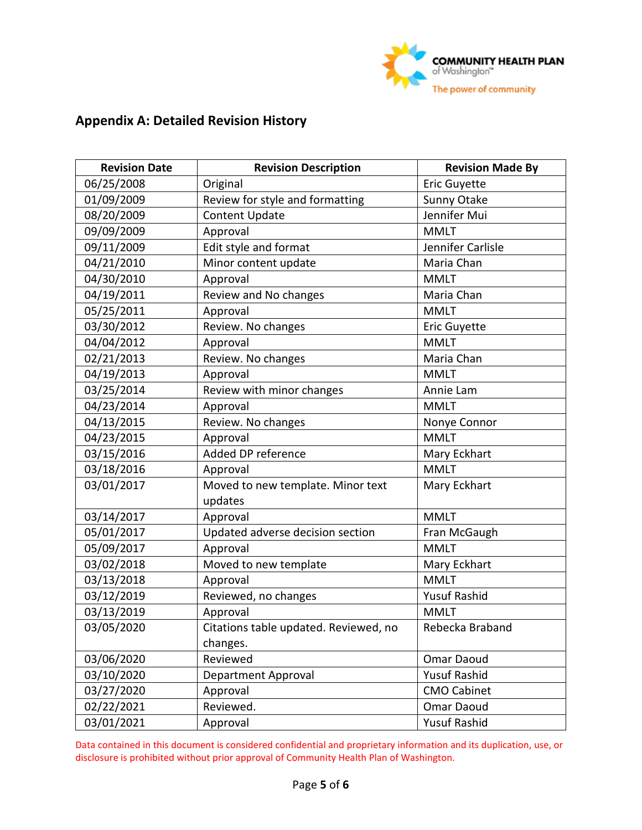

# **Appendix A: Detailed Revision History**

| <b>Revision Date</b> | <b>Revision Description</b>           | <b>Revision Made By</b> |  |
|----------------------|---------------------------------------|-------------------------|--|
| 06/25/2008           | Original                              | <b>Eric Guyette</b>     |  |
| 01/09/2009           | Review for style and formatting       | Sunny Otake             |  |
| 08/20/2009           | <b>Content Update</b>                 | Jennifer Mui            |  |
| 09/09/2009           | Approval                              | <b>MMLT</b>             |  |
| 09/11/2009           | Edit style and format                 | Jennifer Carlisle       |  |
| 04/21/2010           | Minor content update                  | Maria Chan              |  |
| 04/30/2010           | Approval                              | <b>MMLT</b>             |  |
| 04/19/2011           | Review and No changes                 | Maria Chan              |  |
| 05/25/2011           | Approval                              | <b>MMLT</b>             |  |
| 03/30/2012           | Review. No changes                    | Eric Guyette            |  |
| 04/04/2012           | Approval                              | <b>MMLT</b>             |  |
| 02/21/2013           | Review. No changes                    | Maria Chan              |  |
| 04/19/2013           | Approval                              | <b>MMLT</b>             |  |
| 03/25/2014           | Review with minor changes             | Annie Lam               |  |
| 04/23/2014           | Approval                              | <b>MMLT</b>             |  |
| 04/13/2015           | Review. No changes                    | Nonye Connor            |  |
| 04/23/2015           | Approval                              | <b>MMLT</b>             |  |
| 03/15/2016           | Added DP reference                    | Mary Eckhart            |  |
| 03/18/2016           | Approval                              | <b>MMLT</b>             |  |
| 03/01/2017           | Moved to new template. Minor text     | Mary Eckhart            |  |
|                      | updates                               |                         |  |
| 03/14/2017           | Approval                              | <b>MMLT</b>             |  |
| 05/01/2017           | Updated adverse decision section      | Fran McGaugh            |  |
| 05/09/2017           | Approval                              | <b>MMLT</b>             |  |
| 03/02/2018           | Moved to new template                 | Mary Eckhart            |  |
| 03/13/2018           | Approval                              | <b>MMLT</b>             |  |
| 03/12/2019           | Reviewed, no changes                  | <b>Yusuf Rashid</b>     |  |
| 03/13/2019           | Approval                              | <b>MMLT</b>             |  |
| 03/05/2020           | Citations table updated. Reviewed, no | Rebecka Braband         |  |
|                      | changes.                              |                         |  |
| 03/06/2020           | Reviewed                              | Omar Daoud              |  |
| 03/10/2020           | Department Approval                   | <b>Yusuf Rashid</b>     |  |
| 03/27/2020           | Approval                              | <b>CMO Cabinet</b>      |  |
| 02/22/2021           | Reviewed.                             | Omar Daoud              |  |
| 03/01/2021           | Approval                              | <b>Yusuf Rashid</b>     |  |